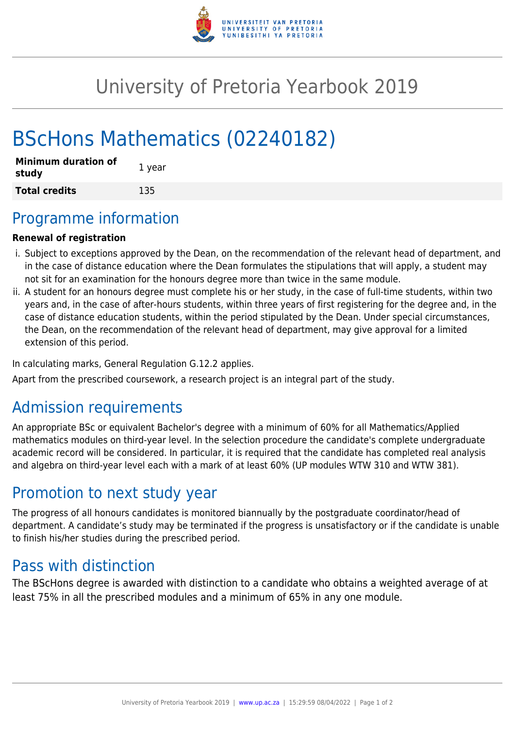

# University of Pretoria Yearbook 2019

# BScHons Mathematics (02240182)

| <b>Minimum duration of</b><br>study | 1 year |
|-------------------------------------|--------|
| <b>Total credits</b>                | 135    |

## Programme information

#### **Renewal of registration**

- i. Subject to exceptions approved by the Dean, on the recommendation of the relevant head of department, and in the case of distance education where the Dean formulates the stipulations that will apply, a student may not sit for an examination for the honours degree more than twice in the same module.
- ii. A student for an honours degree must complete his or her study, in the case of full-time students, within two years and, in the case of after-hours students, within three years of first registering for the degree and, in the case of distance education students, within the period stipulated by the Dean. Under special circumstances, the Dean, on the recommendation of the relevant head of department, may give approval for a limited extension of this period.

In calculating marks, General Regulation G.12.2 applies.

Apart from the prescribed coursework, a research project is an integral part of the study.

## Admission requirements

An appropriate BSc or equivalent Bachelor's degree with a minimum of 60% for all Mathematics/Applied mathematics modules on third-year level. In the selection procedure the candidate's complete undergraduate academic record will be considered. In particular, it is required that the candidate has completed real analysis and algebra on third-year level each with a mark of at least 60% (UP modules WTW 310 and WTW 381).

## Promotion to next study year

The progress of all honours candidates is monitored biannually by the postgraduate coordinator/head of department. A candidate's study may be terminated if the progress is unsatisfactory or if the candidate is unable to finish his/her studies during the prescribed period.

## Pass with distinction

The BScHons degree is awarded with distinction to a candidate who obtains a weighted average of at least 75% in all the prescribed modules and a minimum of 65% in any one module.